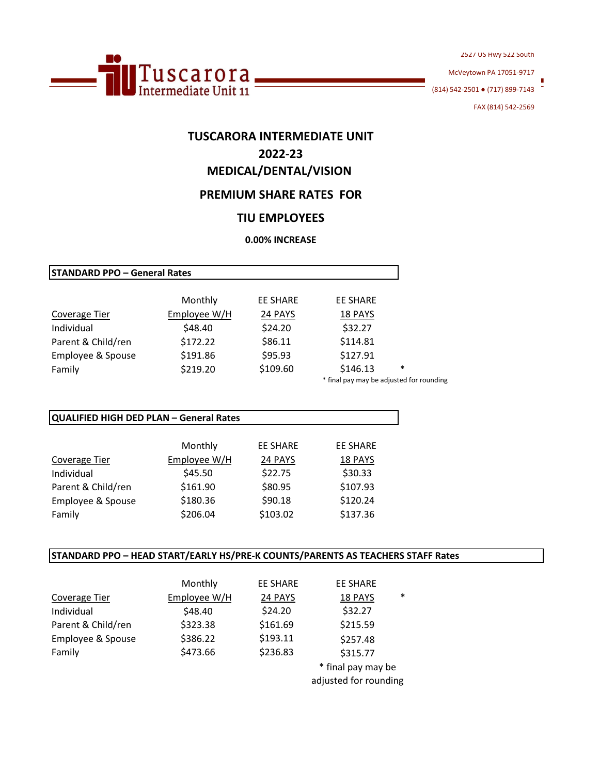

2527 US Hwy 522 South

McVeytown PA 17051‐9717

(814) 542‐2501 ● (717) 899‐7143

FAX (814) 542‐2569

# **TUSCARORA INTERMEDIATE UNIT 2022-23 MEDICAL/DENTAL/VISION**

## **PREMIUM SHARE RATES FOR**

### **TIU EMPLOYEES**

#### **0.00% INCREASE**

| <b>STANDARD PPO - General Rates</b> |              |                 |                                          |  |
|-------------------------------------|--------------|-----------------|------------------------------------------|--|
|                                     | Monthly      | <b>EE SHARE</b> | EE SHARE                                 |  |
| Coverage Tier                       | Employee W/H | 24 PAYS         | 18 PAYS                                  |  |
| Individual                          | \$48.40      | \$24.20         | \$32.27                                  |  |
| Parent & Child/ren                  | \$172.22     | \$86.11         | \$114.81                                 |  |
| Employee & Spouse                   | \$191.86     | \$95.93         | \$127.91                                 |  |
| Family                              | \$219.20     | \$109.60        | \$146.13<br>*                            |  |
|                                     |              |                 | * final pay may be adjusted for rounding |  |

#### **QUALIFIED HIGH DED PLAN – General Rates**

|                    | Monthly      | <b>EE SHARE</b> | <b>EE SHARE</b> |
|--------------------|--------------|-----------------|-----------------|
| Coverage Tier      | Employee W/H | 24 PAYS         | 18 PAYS         |
| Individual         | \$45.50      | \$22.75         | \$30.33         |
| Parent & Child/ren | \$161.90     | \$80.95         | \$107.93        |
| Employee & Spouse  | \$180.36     | \$90.18         | \$120.24        |
| Family             | \$206.04     | \$103.02        | \$137.36        |

#### **STANDARD PPO – HEAD START/EARLY HS/PRE‐K COUNTS/PARENTS AS TEACHERS STAFF Rates**

|                    | Monthly      | <b>EE SHARE</b> | <b>EE SHARE</b>    |        |
|--------------------|--------------|-----------------|--------------------|--------|
| Coverage Tier      | Employee W/H | 24 PAYS         | 18 PAYS            | $\ast$ |
| Individual         | \$48.40      | \$24.20         | \$32.27            |        |
| Parent & Child/ren | \$323.38     | \$161.69        | \$215.59           |        |
| Employee & Spouse  | \$386.22     | \$193.11        | \$257.48           |        |
| Family             | \$473.66     | \$236.83        | \$315.77           |        |
|                    |              |                 | * final pay may be |        |

adjusted for rounding